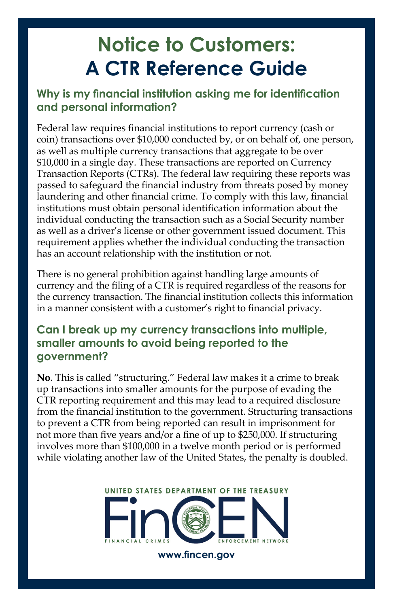## **Notice to Customers: A CTR Reference Guide**

## **Why is my financial institution asking me for identification and personal information?**

Federal law requires financial institutions to report currency (cash or coin) transactions over \$10,000 conducted by, or on behalf of, one person, as well as multiple currency transactions that aggregate to be over \$10,000 in a single day. These transactions are reported on Currency Transaction Reports (CTRs). The federal law requiring these reports was passed to safeguard the financial industry from threats posed by money laundering and other financial crime. To comply with this law, financial institutions must obtain personal identification information about the individual conducting the transaction such as a Social Security number as well as a driver's license or other government issued document. This requirement applies whether the individual conducting the transaction has an account relationship with the institution or not.

There is no general prohibition against handling large amounts of currency and the filing of a CTR is required regardless of the reasons for the currency transaction. The financial institution collects this information in a manner consistent with a customer's right to financial privacy.

## **Can I break up my currency transactions into multiple, smaller amounts to avoid being reported to the government?**

**No**. This is called "structuring." Federal law makes it a crime to break up transactions into smaller amounts for the purpose of evading the CTR reporting requirement and this may lead to a required disclosure from the financial institution to the government. Structuring transactions to prevent a CTR from being reported can result in imprisonment for not more than five years and/or a fine of up to \$250,000. If structuring involves more than \$100,000 in a twelve month period or is performed while violating another law of the United States, the penalty is doubled.



**www.fincen.gov**